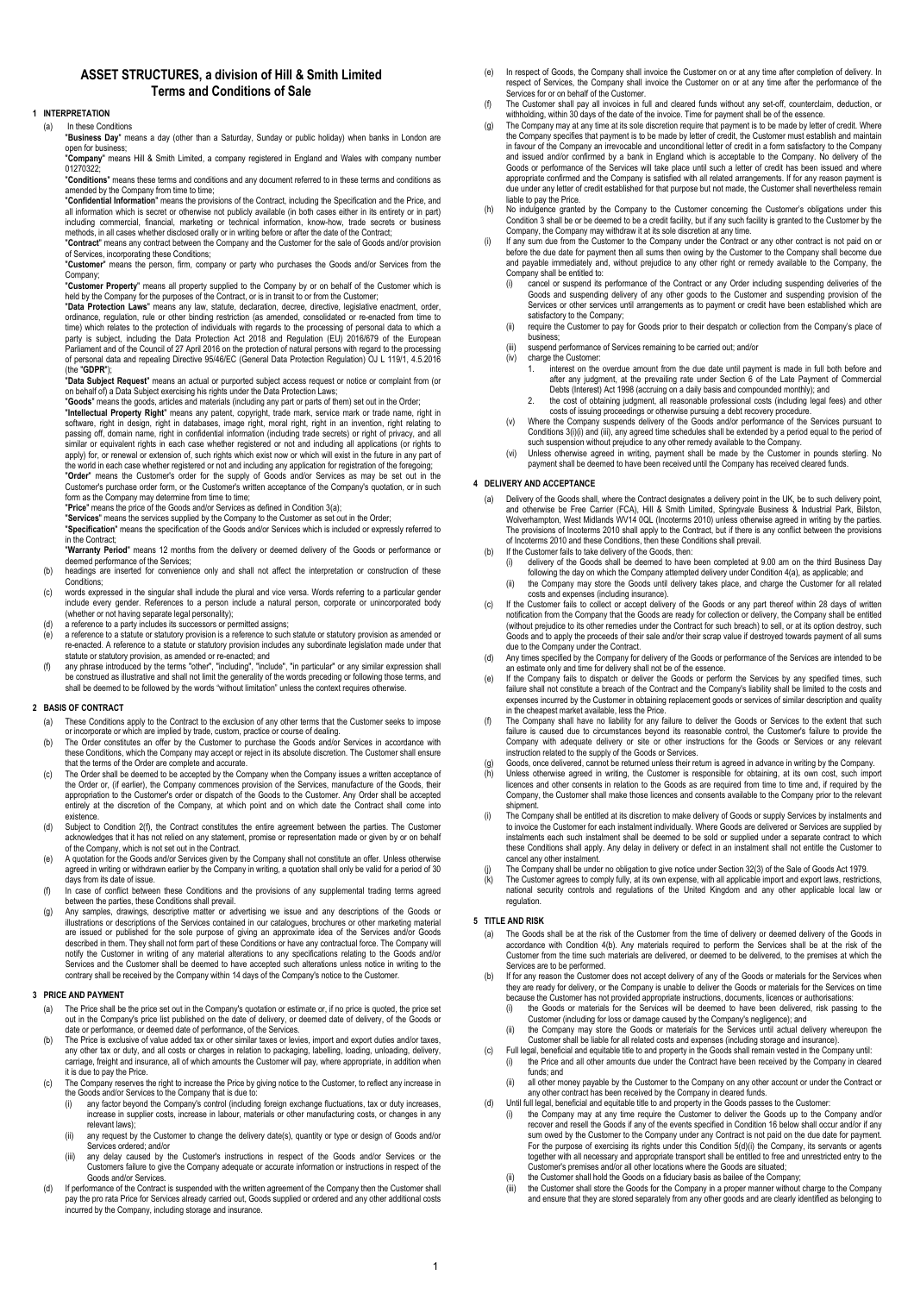# **ASSET STRUCTURES, a division of Hill & Smith Limited Terms and Conditions of Sale**

# **1 INTERPRETATION**

(a) In these Conditions

"**Business Day**" means a day (other than a Saturday, Sunday or public holiday) when banks in London are open for business; "**Company**" means Hill & Smith Limited, a company registered in England and Wales with company number

01270322; "**Conditions**" means these terms and conditions and any document referred to in these terms and conditions as

amended by the Company from time to time; "**Confidential Information**" means the provisions of the Contract, including the Specification and the Price, and all information which is secret or otherwise not publicly available (in both cases either in its entirety or in part)

including commercial, financial, marketing or technical information, know-how, trade secrets or business methods, in all cases whether disclosed orally or in writing before or after the date of the Contract;

"**Contract**" means any contract between the Company and the Customer for the sale of Goods and/or provision<br>of Services, incorporating these Conditions;<br>"**Customer**" means the person, firm, company or party who purchases t

Company; "**Customer Property**" means all property supplied to the Company by or on behalf of the Customer which is

held by the Company for the purposes of the Contract, or is in transit to or from the Customer; "**Data Protection Laws**" means any law, statute, declaration, decree, directive, legislative enactment, order, ordinance, regulation, rule or other binding restriction (as amended, consolidated or re-enacted from time to time) which relates to the protection of individuals with regards to the processing of personal data to which a party is subject, including the Data Protection Act 2018 and Regulation (EU) 2016/679 of the European<br>Parliament and of the Council of 27 April 2016 on the protection of natural persons with regard to the processing<br>of per (the "**GDPR**");

"**Data Subject Request**" means an actual or purported subject access request or notice or complaint from (or on behalf of) a Data Subject exercising his rights under the Data Protection Laws;

"**Goods**" means the goods, articles and materials (including any part or parts of them) set out in the Order; "I**ntellectual Property Right**" means any patent, copyright, trade mark, service mark or trade name, right in<br>software, right in design, right in databases, image right, moral right, right in an invention, right relating t passing off, domain name, right in confidential information (including trade secrets) or right of privacy, and all<br>similar or equivalent rights in each case whether registered or not and including all applications (or righ apply) for, or renewal or extension of, such rights which exist now or which will exist in the future in any part of<br>the world in each case whether registered or not and including any application for registration of the fo

"**Order**" means the Customer's order for the supply of Goods and/or Services as may be set out in the<br>Customer's purchase order form, or the Customer's written acceptance of the Company's quotation, or in such<br>form as the

"**Price**" means the price of the Goods and/or Services as defined in Condition 3(a);

"**Services**" means the services supplied by the Company to the Customer as set out in the Order;

"**Specification**" means the specification of the Goods and/or Services which is included or expressly referred to in the Contract;

"**Warranty Period**" means 12 months from the delivery or deemed delivery of the Goods or performance or deemed performance of the Services;

- (b) headings are inserted for convenience only and shall not affect the interpretation or construction of these Conditions;
- (c) words expressed in the singular shall include the plural and vice versa. Words referring to a particular gender include every gender. References to a person include a natural person, corporate or unincorporated body (whether or not having separate legal personality);
- 
- (d) a reference to a party includes its successors or permitted assigns; (e) a reference to a statute or statutory provision is a reference to such statute or statutory provision as amended or re-enacted. A reference to a statute or statutory provision includes any subordinate legislation made under that statute or statutory provision, as amended or re-enacted; and
- (f) any phrase introduced by the terms "other", "including", "include", "in particular" or any similar expression shall<br>be construed as illustrative and shall not limit the generality of the words preceding or following th shall be deemed to be followed by the words "without limitation" unless the context requires otherwise.

### **2 BASIS OF CONTRACT**

- (a) These Conditions apply to the Contract to the exclusion of any other terms that the Customer seeks to impose or incorporate or which are implied by trade, custom, practice or course of dealing. (b) The Order constitutes an offer by the Customer to purchase the Goods and/or Services in accordance with
- these Conditions, which the Company may accept or reject in its absolute discretion. The Customer shall ensure that the terms of the Order are complete and accurate.
- c) The Order shall be deemed to be accepted by the Company when the Company issues a written acceptance of<br>the Order or, (if earlier), the Company commences provision of the Services, manufacture of the Goods<br>appropriation entirely at the discretion of the Company, at which point and on which date the Contract shall come into existence.
- (d) Subject to Condition 2(f), the Contract constitutes the entire agreement between the parties. The Customer acknowledges that it has not relied on any statement, promise or representation made or given by or on behalf<br>of the Company, which is not set out in the Contract.<br>A quotation for the Goods and/or Services given by the Com
- agreed in writing or withdrawn earlier by the Company in writing, a quotation shall only be valid for a period of 30 days from its date of issue.
- (f) In case of conflict between these Conditions and the provisions of any supplemental trading terms agreed between the parties, these Conditions shall prevail.
- (g) Any samples, drawings, descriptive matter or advertising we issue and any descriptions of the Goods or illustrations or descriptions of the Services contained in our catalogues, brochures or other marketing material are issued or published for the sole purpose of giving an approximate idea of the Services and/or Goods described in them. They shall not form part of these Conditions or have any contractual force. The Company will<br>notify the Customer in writing of any material alterations to any specifications relating to the Goods and/or<br> contrary shall be received by the Company within 14 days of the Company's notice to the Customer.

#### **3 PRICE AND PAYMENT**

- (a) The Price shall be the price set out in the Company's quotation or estimate or, if no price is quoted, the price set<br>out in the Company's price list published on the date of delivery, or deemed date of delivery, of the date or performance, or deemed date of performance, of the Services.
- (b) The Price is exclusive of value added tax or other similar taxes or levies, import and export duties and/or taxes, any other tax or duty, and all costs or charges in relation to packaging, labelling, loading, unloading, delivery,<br>carriage, freight and insurance, all of which amounts the Customer will pay, where appropriate, in addition it is due to pay the Price.
- (c) The Company reserves the right to increase the Price by giving notice to the Customer, to reflect any increase in the Goods and/or Services to the Company that is due to: (i) any factor beyond the Company's control (including foreign exchange fluctuations, tax or duty increases,
	- increase in supplier costs, increase in labour, materials or other manufacturing costs, or changes in any relevant laws);
	- (ii) any request by the Customer to change the delivery date(s), quantity or type or design of Goods and/or Services ordered; and/or (iii) any delay caused by the Customer's instructions in respect of the Goods and/or Services or the
	- Customers failure to give the Company adequate or accurate information or instructions in respect of the Goods and/or Services.
- (d) If performance of the Contract is suspended with the written agreement of the Company then the Customer shall pay the pro rata Price for Services already carried out, Goods supplied or ordered and any other additional costs incurred by the Company, including storage and insurance.
- (e) In respect of Goods, the Company shall invoice the Customer on or at any time after completion of delivery. In respect of Services, the Company shall invoice the Customer on or at any time after the performance of the Services for or on behalf of the Customer.
- (f) The Customer shall pay all invoices in full and cleared funds without any set-off, counterclaim, deduction, or
- withholding, within 30 days of the date of the invoice. Time for payment shall be of the essence.<br>(g) The Company may at any time at its sole discretion require that payment is to be made by letter of credit. Where the Company specifies that payment is to be made by letter of credit, the Customer must establish and maintain in favour of the Company an irrevocable and unconditional letter of credit in a form satisfactory to the Company and issued and/or confirmed by a bank in England which is acceptable to the Company. No delivery of the Goods or performance of the Services will take place until such a letter of credit has been issued and where appropriate confirmed and the Company is satisfied with all related arrangements. If for any reason payment is due under any letter of credit established for that purpose but not made, the Customer shall nevertheless remain liable to pay the Price.
- (h) No indulgence granted by the Company to the Customer concerning the Customer's obligations under this Condition 3 shall be or be deemed to be a credit facility, but if any such facility is granted to the Customer by the Company, the Company may withdraw it at its sole discretion at any time.
- If any sum due from the Customer to the Company under the Contract or any other contract is not paid on or before the due date for payment then all sums then owing by the Customer to the Company shall become due and payable immediately and, without prejudice to any other right or remedy available to the Company, the Company shall be entitled to:<br>(i) cancel or suspend its
	- The Contract of the Contract or any Order including suspending deliveries of the Goods and suspending delivery of any other goods to the Customer and suspending provision of the Services or other services until arrangements as to payment or credit have been established which are satisfactory to the Company:
	- (ii) require the Customer to pay for Goods prior to their despatch or collection from the Company's place of business;
	- (iii) suspend performance of Services remaining to be carried out; and/or
	- (iv) charge the Customer:
		- - 1. interest on the overdue amount from the due date until payment is made in full both before and after any judgment, at the prevailing rate under Section 6 of the Late Payment of Commercial Debts (Interest) Act 1998 (accruing on a daily basis and compounded monthly); and
		- 2. the cost of obtaining judgment, all reasonable professional costs (including legal fees) and other costs of issuing proceedings or otherwise pursuing a debt recovery procedure.
	- (v) Where the Company suspends delivery of the Goods and/or performance of the Services pursuant to Conditions 3(i)(i) and (iii), any agreed time schedules shall be extended by a period equal to the period of
	- such suspension without prejudice to any other remedy available to the Company. (vi) Unless otherwise agreed in writing, payment shall be made by the Customer in pounds sterling. No payment shall be deemed to have been received until the Company has received cleared funds.

### **4 DELIVERY AND ACCEPTANCE**

- (a) Delivery of the Goods shall, where the Contract designates a delivery point in the UK, be to such delivery point, and otherwise be Free Carrier (FCA), Hill & Smith Limited, Springvale Business & Industrial Park, Bilsto of Incoterms 2010 and these Conditions, then these Conditions shall prevail.
- If the Customer fails to take delivery of the Goods, then:
	- (i) delivery of the Goods shall be deemed to have been completed at 9.00 am on the third Business Day following the day on which the Company attempted delivery under Condition 4(a), as applicable; and (ii) the Company may store the Goods until delivery takes place, and charge the Customer for all related
- costs and expenses (including insurance). (c) If the Customer fails to collect or accept delivery of the Goods or any part thereof within 28 days of written
- notification from the Company that the Goods are ready for collection or delivery, the Company shall be entitled<br>(without prejudice to its other remedies under the Contract for such breach) to sell, or at its option destro Goods and to apply the proceeds of their sale and/or their scrap value if destroyed towards payment of all sums due to the Company under the Contract.
- (d) Any times specified by the Company for delivery of the Goods or performance of the Services are intended to be an estimate only and time for delivery shall not be of the essence.
- e) If the Company fails to dispatch or deliver the Goods or perform the Services by any specified times, such<br>failure shall not constitute a breach of the Contract and the Company's liability shall be limited to the costs in the cheapest market available, less the Price.
- (f) The Company shall have no liability for any failure to deliver the Goods or Services to the extent that such failure is caused due to circumstances beyond its reasonable control, the Customer's failure to provide the Company with adequate delivery or site or other instructions for the Goods or Services or any relevant instruction related to the supply of the Goods or Services.
- (g) Goods, once delivered, cannot be returned unless their return is agreed in advance in writing by the Company.<br>(h) Unless otherwise agreed in writing, the Customer is responsible for obtaining, at its own cost, such imp licences and other consents in relation to the Goods as are required from time to time and, if required by the Company, the Customer shall make those licences and consents available to the Company prior to the relevant shipment.
- (i) The Company shall be entitled at its discretion to make delivery of Goods or supply Services by instalments and to invoice the Customer for each instalment individually. Where Goods are delivered or Services are supplied by instalments each such instalment shall be deemed to be sold or supplied under a separate contract to which these Conditions shall apply. Any delay in delivery or defect in an instalment shall not entitle the Customer to cancel any other instalment.
- 
- (j) The Company shall be under no obligation to give notice under Section 32(3) of the Sale of Goods Act 1979.<br>(k) The Customer agrees to comply fully, at its own expense, with all applicable import and export laws, re regulation.

# **5 TITLE AND RISK**

- (a) The Goods shall be at the risk of the Customer from the time of delivery or deemed delivery of the Goods in accordance with Condition 4(b). Any materials required to perform the Services shall be at the risk of the Customer from the time such materials are delivered, or deemed to be delivered, to the premises at which the ervices are to be performed.
- (b) If for any reason the Customer does not accept delivery of any of the Goods or materials for the Services when they are ready for delivery, or the Company is unable to deliver the Goods or materials for the Services on time
	- because the Customer has not provided appropriate instructions, documents, licences or authorisations:<br>(i) the Goods or materials for the Services will be deemed to have been delivered, risk passin (i) the Goods or materials for the Services will be deemed to have been delivered, risk passing to the Customer (including for loss or damage caused by the Company's negligence); and
	- (ii) the Company may store the Goods or materials for the Services until actual delivery whereupon the Customer shall be liable for all related costs and expenses (including storage and insurance).
- (c) Full legal, beneficial and equitable title to and property in the Goods shall remain vested in the Company until: (i) the Price and all other amounts due under the Contract have been received by the Company in cleared funds; and
- (iii) all other money payable by the Customer to the Company on any other account or under the Contract or any other contract has been received by the Company in cleared funds. (d) Until full legal, beneficial and equitable title to and property in the Goods passes to the Customer:
	-
	- (i) the Company may at any time require the Customer to deliver the Goods up to the Company and/or recover and resell the Goods if any of the events specified in Condition 16 below shall occur and/or if any sum owed by the Customer to the Company under any Contract is not paid on the due date for payment. For the purpose of exercising its rights under this Condition 5(d)(i) the Company, its servants or agents together with all necessary and appropriate transport shall be entitled to free and unrestricted entry to the Customer's premises and/or all other locations where the Goods are situated; (ii) the Customer shall hold the Goods on a fiduciary basis as bailee of the Company;
		-
	- (iii) the Customer shall store the Goods for the Company in a proper manner without charge to the Company and ensure that they are stored separately from any other goods and are clearly identified as belonging to any other goods.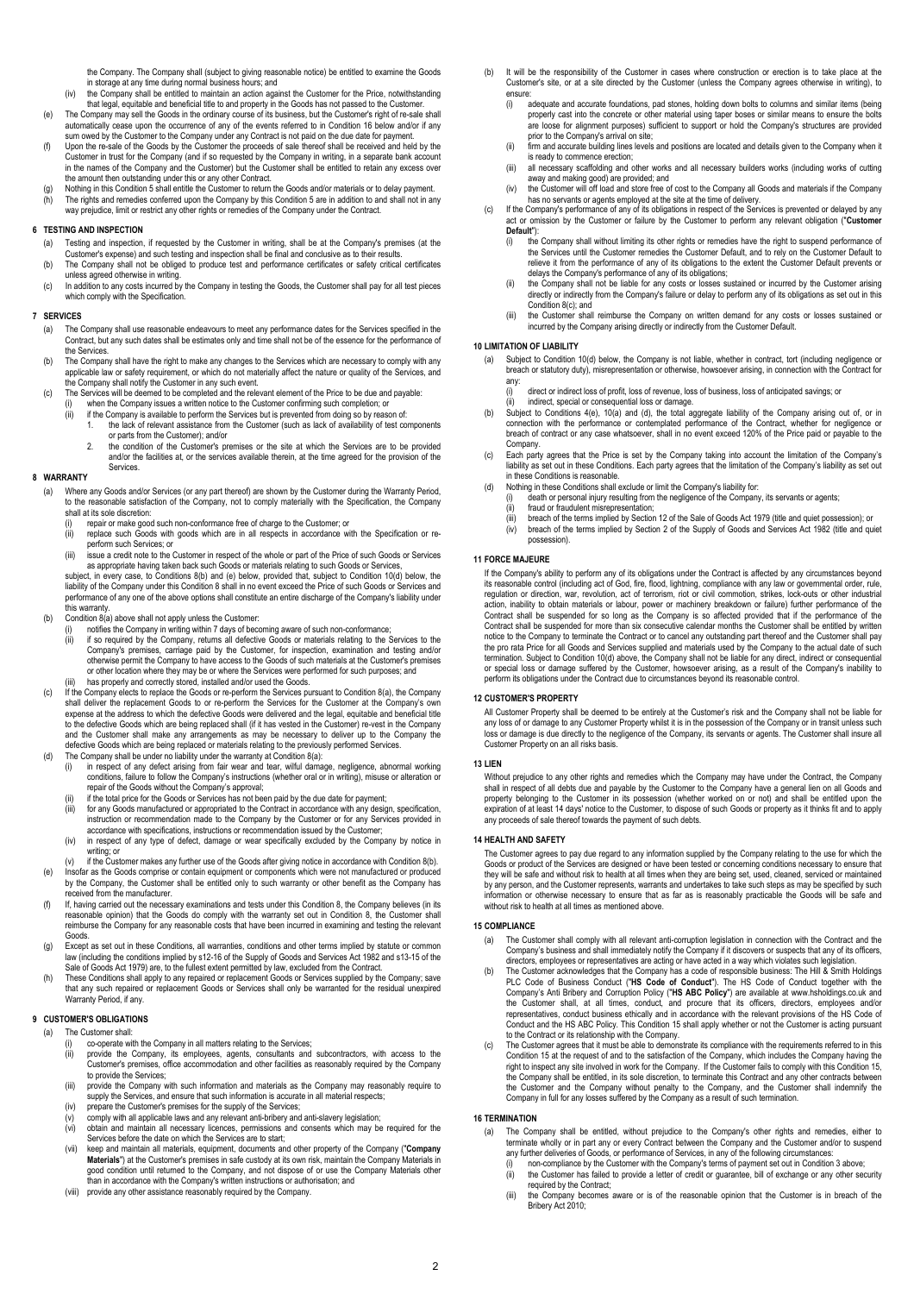the Company. The Company shall (subject to giving reasonable notice) be entitled to examine the Goods in storage at any time during normal business hours; and

- (iv) the Company shall be entitled to maintain an action against the Customer for the Price, notwithstanding that legal, equitable and beneficial title to and property in the Goods has not passed to the Customer.
- (e) The Company may sell the Goods in the ordinary course of its business, but the Customer's right of re-sale shall automatically cease upon the occurrence of any of the events referred to in Condition 16 below and/or if any sum owed by the Customer to the Company under any Contract is not paid on the due date for payment.
- Upon the re-sale of the Goods by the Customer the proceeds of sale thereof shall be received and held by the Customer in trust for the Company (and if so requested by the Company in writing, in a separate bank account<br>in the names of the Company and the Customer) but the Customer shall be entitled to retain any excess over<br>the am
- (g) Nothing in this Condition 5 shall entitle the Customer to return the Goods and/or materials or to delay payment.<br>(h) The rights and remedies conferred upon the Company by this Condition 5 are in addition to and shall way prejudice, limit or restrict any other rights or remedies of the Company under the Contract.

# **6 TESTING AND INSPECTION**

- (a) Testing and inspection, if requested by the Customer in writing, shall be at the Company's premises (at the Customer's expense) and such testing and inspection shall be final and conclusive as to their results. (b) The Company shall not be obliged to produce test and performance certificates or safety critical certificates
- unless agreed otherwise in writing. (c) In addition to any costs incurred by the Company in testing the Goods, the Customer shall pay for all test pieces which comply with the Specification.

#### **7 SERVICES**

- (a) The Company shall use reasonable endeavours to meet any performance dates for the Services specified in the<br>Contract, but any such dates shall be estimates only and time shall not be of the essence for the performance the Services.
- (b) The Company shall have the right to make any changes to the Services which are necessary to comply with any applicable law or safety requirement, or which do not materially affect the nature or quality of the Services, and
- the Company shall notify the Customer in any such event. (c) The Services will be deemed to be completed and the relevant element of the Price to be due and payable:
	- (i) when the Company issues a written notice to the Customer confirming such completion; or
	- (i) if the Company is available to perform the Services but is prevented from doing so by reason of:
		- the lack of relevant assistance from the Customer (such as lack of availability of test components or parts from the Customer); and/or
		- 2. the condition of the Customer's premises or the site at which the Services are to be provided<br>and/or the facilities at or the services available therein at the time agreed for the provision of the and/or the facilities at, or the services available therein, at the time agreed for the provisi **Services**

#### **8 WARRANTY**

- (a) Where any Goods and/or Services (or any part thereof) are shown by the Customer during the Warranty Period, to the reasonable satisfaction of the Company, not to comply materially with the Specification, the Company shall at its sole discretion:
	- (i) repair or make good such non-conformance free of charge to the Customer; or  $(ii)$  replace such Goods with goods which are in all respects in accordance w
	- (ii) replace such Goods with goods which are in all respects in accordance with the Specification or reperform such Services; or
	- (iii) issue a credit note to the Customer in respect of the whole or part of the Price of such Goods or Services<br>as appropriate having taken back such Goods or materials relating to such Goods or Services,<br>subject, in ever

performance of any one of the above options shall constitute an entire discharge of the Company's liability under this warranty.

- $(b)$  Condition  $8(a)$  above shall not apply unless the Customer
	- (i) notifies the Company in writing within 7 days of becoming aware of such non-conformance; (ii) if so required by the Company, returns all defective Goods or materials relating to the Services to the
	- Company's premises, carriage paid by the Customer, for inspection, examination and testing and/or otherwise permit the Company to have access to the Goods of such materials at the Customer's premises or other location where they may be or where the Services were performed for such purposes; and
- In the properly and correctly stored, installed and/or used the Goods.
- (c) If the Company elects to replace the Goods or re-perform the Services pursuant to Condition 8(a), the Company<br>shall deliver the replacement Goods to or re-perform the Services for the Customer at the Company's own<br>expe to the defective Goods which are being replaced shall (if it has vested in the Customer) re-vest in the Company and the Customer shall make any arrangements as may be necessary to deliver up to the Company the<br>defective Goods which are being replaced or materials relating to the previously performed Services.<br>(d) The Company shall b
- - (i) in respect of any defect arising from fair wear and tear, wilful damage, negligence, abnormal working conditions, failure to follow the Company's instructions (whether oral or in writing), misuse or alteration or repair of the Goods without the Company's approval; (ii) if the total price for the Goods or Services has not been paid by the due date for payment;
	-
	- (iii) for any Goods manufactured or appropriated to the Contract in accordance with any design, specification, instruction or recommendation made to the Company by the Customer or for any Services provided in accordance with specifications, instructions or recommendation issued by the Customer;
	- (iv) in respect of any type of defect, damage or wear specifically excluded by the Company by notice in writing; or
- (v) if the Customer makes any further use of the Goods after giving notice in accordance with Condition 8(b). (e) Insofar as the Goods comprise or contain equipment or components which were not manufactured or produced by the Company, the Customer shall be entitled only to such warranty or other benefit as the Company has
- received from the manufacturer. (f) If, having carried out the necessary examinations and tests under this Condition 8, the Company believes (in its reasonable opinion) that the Goods do comply with the warranty set out in Condition 8, the Customer shall reimburse the Company for any reasonable costs that have been incurred in examining and testing the relevant Goods.
- (g) Except as set out in these Conditions, all warranties, conditions and other terms implied by statute or common law (including the conditions implied by s12-16 of the Supply of Goods and Services Act 1982 and s13-15 of the Sale of Goods Act 1979) are, to the fullest extent permitted by law, excluded from the Contract.
- (h) These Conditions shall apply to any repaired or replacement Goods or Services supplied by the Company; save that any such repaired or replacement Goods or Services shall only be warranted for the residual unexpired Warranty Period, if any.

#### **9 CUSTOMER'S OBLIGATIONS**

#### (a) The Customer shall:

- co-operate with the Company in all matters relating to the Services;
- (ii) provide the Company, its employees, agents, consultants and subcontractors, with access to the Customer's premises, office accommodation and other facilities as reasonably required by the Company to provide the Services;
- (iii) provide the Company with such information and materials as the Company may reasonably require to supply the Services, and ensure that such information is accurate in all material respects;
- (iv) prepare the Customer's premises for the supply of the Services;
- (v) comply with all applicable laws and any relevant anti-bribery and anti-slavery legislation;<br>(vi) obtain and maintain all necessary licences, nermissions and consents which may b
- (vi) obtain and maintain all necessary licences, permissions and consents which may be required for the Services before the date on which the Services are to start; (vii) keep and maintain all materials, equipment, documents and other property of the Company ("**Company**
- **Materials**") at the Customer's premises in safe custody at its own risk, maintain the Company Materials in good condition until returned to the Company, and not dispose of or use the Company Materials other than in accordance with the Company's written instructions or authorisation; and (viii) provide any other assistance reasonably required by the Company.
- 
- (b) It will be the responsibility of the Customer in cases where construction or erection is to take place at the Customer's site, or at a site directed by the Customer (unless the Company agrees otherwise in writing), to ensure:
	- (i) adequate and accurate foundations, pad stones, holding down bolts to columns and similar items (being properly cast into the concrete or other material using taper boses or similar means to ensure the bolts are loose for alignment purposes) sufficient to support or hold the Company's structures are provided prior to the Company's arrival on site;
	- (ii) firm and accurate building lines levels and positions are located and details given to the Company when is ready to commence erection;
	- (iii) all necessary scaffolding and other works and all necessary builders works (including works of cutting away and making good) are provided; and
- (iv) the Customer will off load and store free of cost to the Company all Goods and materials if the Company<br>has no servants or agents employed at the site at the time of delivery.<br>(c) If the Company's performance of any o
- **Default**"):
	- the Company shall without limiting its other rights or remedies have the right to suspend performance of the Services until the Customer remedies the Customer Default, and to rely on the Customer Default to relieve it from the performance of any of its obligations to the extent the Customer Default prevents or delays the Company's performance of any of its obligations;
	- (ii) the Company shall not be liable for any costs or losses sustained or incurred by the Customer arising directly or indirectly from the Company's failure or delay to perform any of its obligations as set out in this Condition 8(c); and
	- (iii) the Customer shall reimburse the Company on written demand for any costs or losses sustained or incurred by the Company arising directly or indirectly from the Customer Default.

### **10 LIMITATION OF LIABILITY**

- Subject to Condition 10(d) below, the Company is not liable, whether in contract, tort (including negligence or breach or statutory duty), misrepresentation or otherwise, howsoever arising, in connection with the Contract for any:
	- direct or indirect loss of profit, loss of revenue, loss of business, loss of anticipated savings; or
	- indirect, special or consequential loss or damage.
- (b) Subject to Conditions 4(e), 10(a) and (d), the total aggregate liability of the Company arising out of, or in connection with the performance or contemplated performance of the Contract, whether for negligence or breach of contract or any case whatsoever, shall in no event exceed 120% of the Price paid or payable to the Company.
- (c) Each party agrees that the Price is set by the Company taking into account the limitation of the Company's<br>liability as set out in these Conditions. Each party agrees that the limitation of the Company's liability as s in these Conditions is reasonable.
- (d) Nothing in these Conditions shall exclude or limit the Company's liability for: (i) death or personal injury resulting from the negligence of the Company, its servants or agents;
	-
	- (ii) fraud or fraudulent misrepresentation;<br>(iii) breach of the terms implied by Section 12 of the Sale of Goods Act 1979 (title and quiet possession); or
	- (iv) breach of the terms implied by Section 2 of the Supply of Goods and Services Act 1982 (title and quiet possession).

#### **11 FORCE MAJEURE**

If the Company's ability to perform any of its obligations under the Contract is affected by any circumstances beyond<br>its reasonable control (including act of God, fire, flood, lightning, compliance with any law or governm regulation or direction, war, revolution, act of terrorism, riot or civil commotion, strikes, lock-outs or other industrial action, inability to obtain materials or labour, power or machinery breakdown or failure) further performance of the Contract shall be suspended for so long as the Company is so affected provided that if the performance of the<br>Contract shall be suspended for more than six consecutive calendar months the Customer shall be entitled by writ notice to the Company to terminate the Contract or to cancel any outstanding part thereof and the Customer shall pay the pro rata Price for all Goods and Services supplied and materials used by the Company to the actual date of such termination. Subject to Condition 10(d) above, the Company shall not be liable for any direct, indirect or consequential<br>or special loss or damage suffered by the Customer, howsoever arising, as a result of the Company's i perform its obligations under the Contract due to circumstances beyond its reasonable control.

### **12 CUSTOMER'S PROPERTY**

All Customer Property shall be deemed to be entirely at the Customer's risk and the Company shall not be liable for any loss of or damage to any Customer Property whilst it is in the possession of the Company or in transit unless such<br>loss or damage is due directly to the negligence of the Company, its servants or agents. The Customer s Customer Property on an all risks basis.

# **13 LIEN**

Without prejudice to any other rights and remedies which the Company may have under the Contract, the Company shall in respect of all debts due and payable by the Customer to the Company have a general lien on all Goods and<br>property belonging to the Customer in its possession (whether worked on or not) and shall be entitled upon t expiration of at least 14 days' notice to the Customer, to dispose of such Goods or property as it thinks fit and to apply any proceeds of sale thereof towards the payment of such debts.

### **14 HEALTH AND SAFETY**

The Customer agrees to pay due regard to any information supplied by the Company relating to the use for which the<br>Goods or product of the Services are designed or have been tested or concerning conditions necessary to ens they will be safe and without risk to health at all times when they are being set, used, cleaned, serviced or maintained<br>by any person, and the Customer represents, warrants and undertakes to take such steps as may be spec information or otherwise necessary to ensure that as far as is reasonably practicable the Goods will be safe and without risk to health at all times as mentioned above.

### **15 COMPLIANCE**

- (a) The Customer shall comply with all relevant anti-corruption legislation in connection with the Contract and the Company's business and shall immediately notify the Company if it discovers or suspects that any of its officers,
- directors, employees or representatives are acting or have acted in a way which violates such legislation. (b) The Customer acknowledges that the Company has a code of responsible business: The Hill & Smith Holdings PLC Code of Business Conduct ("**HS Code of Conduct**"). The HS Code of Conduct together with the Company's Anti Bribery and Corruption Policy ("**HS ABC Policy**") are available at www.hsholdings.co.uk and the Customer shall, at all times, conduct, and procure that its officers, directors, employees and/or representatives, conduct business ethically and in accordance with the relevant provisions of the HS Code of Conduct and the HS ABC Policy. This Condition 15 shall apply whether or not the Customer is acting pursuant
- to the Contract or its relationship with the Company. (c) The Customer agrees that it must be able to demonstrate its compliance with the requirements referred to in this Condition 15 at the request of and to the satisfaction of the Company, which includes the Company having the<br>right to inspect any site involved in work for the Company. If the Customer fails to comply with this Condition 1 the Company shall be entitled, in its sole discretion, to terminate this Contract and any other contracts between<br>the Customer and the Company without penalty to the Company, and the Customer shall indemnify the<br>Company in

# **16 TERMINATION**

- (a) The Company shall be entitled, without prejudice to the Company's other rights and remedies, either to terminate wholly or in part any or every Contract between the Company and the Customer and/or to suspend any further deliveries of Goods, or performance of Services, in any of the following circumstances:
	-
	- (i) non-compliance by the Customer with the Company's terms of payment set out in Condition 3 above; (ii) the Customer has failed to provide a letter of credit or guarantee, bill of exchange or any other security required by the Contract;
	- (iii) the Company becomes aware or is of the reasonable opinion that the Customer is in breach of the Bribery Act 2010;